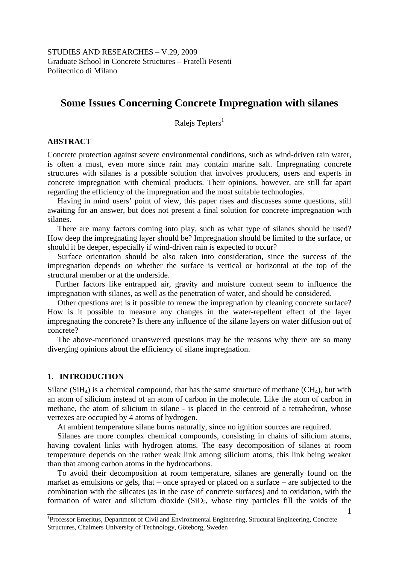# **Some Issues Concerning Concrete Impregnation with silanes**

Raleis Tepfers<sup>1</sup>

### **ABSTRACT**

Concrete protection against severe environmental conditions, such as wind-driven rain water, is often a must, even more since rain may contain marine salt. Impregnating concrete structures with silanes is a possible solution that involves producers, users and experts in concrete impregnation with chemical products. Their opinions, however, are still far apart regarding the efficiency of the impregnation and the most suitable technologies.

 Having in mind users' point of view, this paper rises and discusses some questions, still awaiting for an answer, but does not present a final solution for concrete impregnation with silanes.

 There are many factors coming into play, such as what type of silanes should be used? How deep the impregnating layer should be? Impregnation should be limited to the surface, or should it be deeper, especially if wind-driven rain is expected to occur?

 Surface orientation should be also taken into consideration, since the success of the impregnation depends on whether the surface is vertical or horizontal at the top of the structural member or at the underside.

 Further factors like entrapped air, gravity and moisture content seem to influence the impregnation with silanes, as well as the penetration of water, and should be considered.

 Other questions are: is it possible to renew the impregnation by cleaning concrete surface? How is it possible to measure any changes in the water-repellent effect of the layer impregnating the concrete? Is there any influence of the silane layers on water diffusion out of concrete?

 The above-mentioned unanswered questions may be the reasons why there are so many diverging opinions about the efficiency of silane impregnation.

### **1. INTRODUCTION**

\_\_\_\_\_\_\_\_\_\_\_\_\_\_\_\_\_\_\_\_\_\_\_\_\_\_\_\_\_\_\_\_

Silane ( $SiH<sub>4</sub>$ ) is a chemical compound, that has the same structure of methane ( $CH<sub>4</sub>$ ), but with an atom of silicium instead of an atom of carbon in the molecule. Like the atom of carbon in methane, the atom of silicium in silane - is placed in the centroid of a tetrahedron, whose vertexes are occupied by 4 atoms of hydrogen.

At ambient temperature silane burns naturally, since no ignition sources are required.

 Silanes are more complex chemical compounds, consisting in chains of silicium atoms, having covalent links with hydrogen atoms. The easy decomposition of silanes at room temperature depends on the rather weak link among silicium atoms, this link being weaker than that among carbon atoms in the hydrocarbons.

 To avoid their decomposition at room temperature, silanes are generally found on the market as emulsions or gels, that – once sprayed or placed on a surface – are subjected to the combination with the silicates (as in the case of concrete surfaces) and to oxidation, with the formation of water and silicium dioxide  $(SiO<sub>2</sub>)$ , whose tiny particles fill the voids of the

<sup>&</sup>lt;sup>1</sup>Professor Emeritus, Department of Civil and Environmental Engineering, Structural Engineering, Concrete Structures, Chalmers University of Technology, Göteborg, Sweden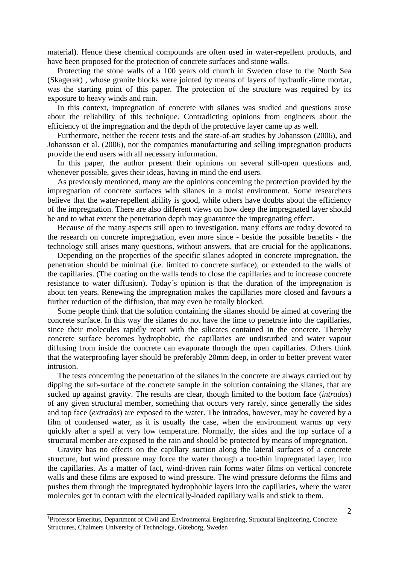material). Hence these chemical compounds are often used in water-repellent products, and have been proposed for the protection of concrete surfaces and stone walls.

 Protecting the stone walls of a 100 years old church in Sweden close to the North Sea (Skagerak) , whose granite blocks were jointed by means of layers of hydraulic-lime mortar, was the starting point of this paper. The protection of the structure was required by its exposure to heavy winds and rain.

 In this context, impregnation of concrete with silanes was studied and questions arose about the reliability of this technique. Contradicting opinions from engineers about the efficiency of the impregnation and the depth of the protective layer came up as well.

 Furthermore, neither the recent tests and the state-of-art studies by Johansson (2006), and Johansson et al. (2006), nor the companies manufacturing and selling impregnation products provide the end users with all necessary information.

 In this paper, the author present their opinions on several still-open questions and, whenever possible, gives their ideas, having in mind the end users.

 As previously mentioned, many are the opinions concerning the protection provided by the impregnation of concrete surfaces with silanes in a moist environment. Some researchers believe that the water-repellent ability is good, while others have doubts about the efficiency of the impregnation. There are also different views on how deep the impregnated layer should be and to what extent the penetration depth may guarantee the impregnating effect.

 Because of the many aspects still open to investigation, many efforts are today devoted to the research on concrete impregnation, even more since - beside the possible benefits - the technology still arises many questions, without answers, that are crucial for the applications.

 Depending on the properties of the specific silanes adopted in concrete impregnation, the penetration should be minimal (i.e. limited to concrete surface), or extended to the walls of the capillaries. (The coating on the walls tends to close the capillaries and to increase concrete resistance to water diffusion). Today´s opinion is that the duration of the impregnation is about ten years. Renewing the impregnation makes the capillaries more closed and favours a further reduction of the diffusion, that may even be totally blocked.

 Some people think that the solution containing the silanes should be aimed at covering the concrete surface. In this way the silanes do not have the time to penetrate into the capillaries, since their molecules rapidly react with the silicates contained in the concrete. Thereby concrete surface becomes hydrophobic, the capillaries are undisturbed and water vapour diffusing from inside the concrete can evaporate through the open capillaries. Others think that the waterproofing layer should be preferably 20mm deep, in order to better prevent water intrusion.

 The tests concerning the penetration of the silanes in the concrete are always carried out by dipping the sub-surface of the concrete sample in the solution containing the silanes, that are sucked up against gravity. The results are clear, though limited to the bottom face (*intrados*) of any given structural member, something that occurs very rarely, since generally the sides and top face (*extrados*) are exposed to the water. The intrados, however, may be covered by a film of condensed water, as it is usually the case, when the environment warms up very quickly after a spell at very low temperature. Normally, the sides and the top surface of a structural member are exposed to the rain and should be protected by means of impregnation.

 Gravity has no effects on the capillary suction along the lateral surfaces of a concrete structure, but wind pressure may force the water through a too-thin impregnated layer, into the capillaries. As a matter of fact, wind-driven rain forms water films on vertical concrete walls and these films are exposed to wind pressure. The wind pressure deforms the films and pushes them through the impregnated hydrophobic layers into the capillaries, where the water molecules get in contact with the electrically-loaded capillary walls and stick to them.

<sup>&</sup>lt;sup>1</sup>Professor Emeritus, Department of Civil and Environmental Engineering, Structural Engineering, Concrete Structures, Chalmers University of Technology, Göteborg, Sweden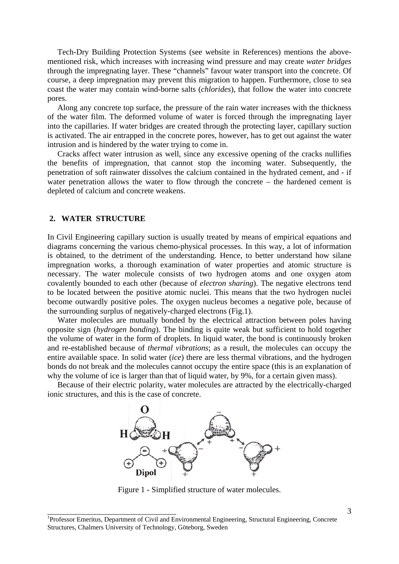Tech-Dry Building Protection Systems (see website in References) mentions the abovementioned risk, which increases with increasing wind pressure and may create *water bridges* through the impregnating layer. These "channels" favour water transport into the concrete. Of course, a deep impregnation may prevent this migration to happen. Furthermore, close to sea coast the water may contain wind-borne salts (*chlorides*), that follow the water into concrete pores.

 Along any concrete top surface, the pressure of the rain water increases with the thickness of the water film. The deformed volume of water is forced through the impregnating layer into the capillaries. If water bridges are created through the protecting layer, capillary suction is activated. The air entrapped in the concrete pores, however, has to get out against the water intrusion and is hindered by the water trying to come in.

 Cracks affect water intrusion as well, since any excessive opening of the cracks nullifies the benefits of impregnation, that cannot stop the incoming water. Subsequently, the penetration of soft rainwater dissolves the calcium contained in the hydrated cement, and - if water penetration allows the water to flow through the concrete – the hardened cement is depleted of calcium and concrete weakens.

### **2. WATER STRUCTURE**

\_\_\_\_\_\_\_\_\_\_\_\_\_\_\_\_\_\_\_\_\_\_\_\_\_\_\_\_\_\_\_\_

In Civil Engineering capillary suction is usually treated by means of empirical equations and diagrams concerning the various chemo-physical processes. In this way, a lot of information is obtained, to the detriment of the understanding. Hence, to better understand how silane impregnation works, a thorough examination of water properties and atomic structure is necessary. The water molecule consists of two hydrogen atoms and one oxygen atom covalently bounded to each other (because of *electron sharing*). The negative electrons tend to be located between the positive atomic nuclei. This means that the two hydrogen nuclei become outwardly positive poles. The oxygen nucleus becomes a negative pole, because of the surrounding surplus of negatively-charged electrons (Fig.1).

 Water molecules are mutually bonded by the electrical attraction between poles having opposite sign (*hydrogen bonding*). The binding is quite weak but sufficient to hold together the volume of water in the form of droplets. In liquid water, the bond is continuously broken and re-established because of *thermal vibrations*; as a result, the molecules can occupy the entire available space. In solid water (*ice*) there are less thermal vibrations, and the hydrogen bonds do not break and the molecules cannot occupy the entire space (this is an explanation of why the volume of ice is larger than that of liquid water, by 9%, for a certain given mass).

 Because of their electric polarity, water molecules are attracted by the electrically-charged ionic structures, and this is the case of concrete.



Figure 1 - Simplified structure of water molecules.

<sup>&</sup>lt;sup>1</sup>Professor Emeritus, Department of Civil and Environmental Engineering, Structural Engineering, Concrete Structures, Chalmers University of Technology, Göteborg, Sweden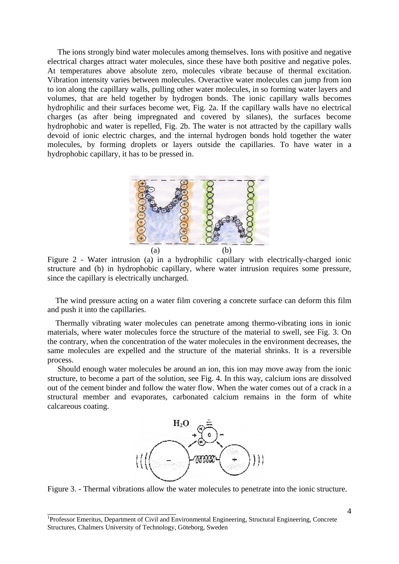The ions strongly bind water molecules among themselves. Ions with positive and negative electrical charges attract water molecules, since these have both positive and negative poles. At temperatures above absolute zero, molecules vibrate because of thermal excitation. Vibration intensity varies between molecules. Overactive water molecules can jump from ion to ion along the capillary walls, pulling other water molecules, in so forming water layers and volumes, that are held together by hydrogen bonds. The ionic capillary walls becomes hydrophilic and their surfaces become wet, Fig. 2a. If the capillary walls have no electrical charges (as after being impregnated and covered by silanes), the surfaces become hydrophobic and water is repelled, Fig. 2b. The water is not attracted by the capillary walls devoid of ionic electric charges, and the internal hydrogen bonds hold together the water molecules, by forming droplets or layers outside the capillaries. To have water in a hydrophobic capillary, it has to be pressed in.



Figure 2 - Water intrusion (a) in a hydrophilic capillary with electrically-charged ionic structure and (b) in hydrophobic capillary, where water intrusion requires some pressure, since the capillary is electrically uncharged.

 The wind pressure acting on a water film covering a concrete surface can deform this film and push it into the capillaries.

 Thermally vibrating water molecules can penetrate among thermo-vibrating ions in ionic materials, where water molecules force the structure of the material to swell, see Fig. 3. On the contrary, when the concentration of the water molecules in the environment decreases, the same molecules are expelled and the structure of the material shrinks. It is a reversible process.

 Should enough water molecules be around an ion, this ion may move away from the ionic structure, to become a part of the solution, see Fig. 4. In this way, calcium ions are dissolved out of the cement binder and follow the water flow. When the water comes out of a crack in a structural member and evaporates, carbonated calcium remains in the form of white calcareous coating.



Figure 3. - Thermal vibrations allow the water molecules to penetrate into the ionic structure.

<sup>&</sup>lt;sup>1</sup>Professor Emeritus, Department of Civil and Environmental Engineering, Structural Engineering, Concrete Structures, Chalmers University of Technology, Göteborg, Sweden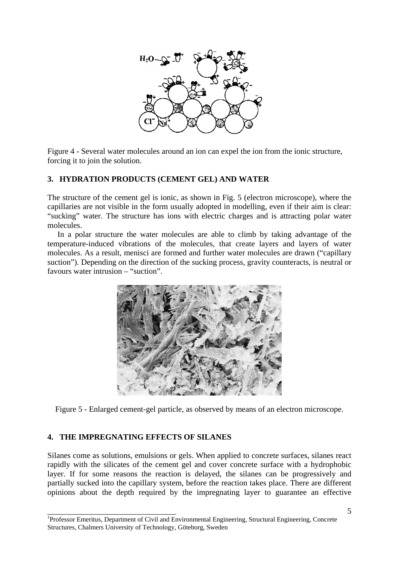

Figure 4 - Several water molecules around an ion can expel the ion from the ionic structure, forcing it to join the solution.

## **3. HYDRATION PRODUCTS (CEMENT GEL) AND WATER**

The structure of the cement gel is ionic, as shown in Fig. 5 (electron microscope), where the capillaries are not visible in the form usually adopted in modelling, even if their aim is clear: "sucking" water. The structure has ions with electric charges and is attracting polar water molecules.

 In a polar structure the water molecules are able to climb by taking advantage of the temperature-induced vibrations of the molecules, that create layers and layers of water molecules. As a result, menisci are formed and further water molecules are drawn ("capillary suction"). Depending on the direction of the sucking process, gravity counteracts, is neutral or favours water intrusion – "suction".



Figure 5 - Enlarged cement-gel particle, as observed by means of an electron microscope.

# **4. THE IMPREGNATING EFFECTS OF SILANES**

\_\_\_\_\_\_\_\_\_\_\_\_\_\_\_\_\_\_\_\_\_\_\_\_\_\_\_\_\_\_\_\_

Silanes come as solutions, emulsions or gels. When applied to concrete surfaces, silanes react rapidly with the silicates of the cement gel and cover concrete surface with a hydrophobic layer. If for some reasons the reaction is delayed, the silanes can be progressively and partially sucked into the capillary system, before the reaction takes place. There are different opinions about the depth required by the impregnating layer to guarantee an effective

<sup>&</sup>lt;sup>1</sup>Professor Emeritus, Department of Civil and Environmental Engineering, Structural Engineering, Concrete Structures, Chalmers University of Technology, Göteborg, Sweden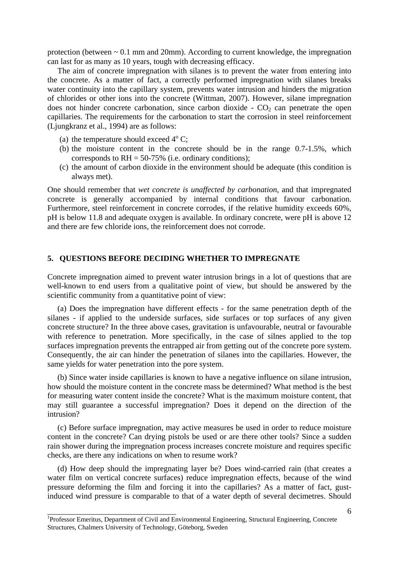protection (between  $\sim 0.1$  mm and 20mm). According to current knowledge, the impregnation can last for as many as 10 years, tough with decreasing efficacy.

 The aim of concrete impregnation with silanes is to prevent the water from entering into the concrete. As a matter of fact, a correctly performed impregnation with silanes breaks water continuity into the capillary system, prevents water intrusion and hinders the migration of chlorides or other ions into the concrete (Wittman, 2007). However, silane impregnation does not hinder concrete carbonation, since carbon dioxide -  $CO<sub>2</sub>$  can penetrate the open capillaries. The requirements for the carbonation to start the corrosion in steel reinforcement (Ljungkranz et al., 1994) are as follows:

- (a) the temperature should exceed  $4^{\circ}$  C;
- (b) the moisture content in the concrete should be in the range 0.7-1.5%, which corresponds to  $RH = 50-75\%$  (i.e. ordinary conditions);
- (c) the amount of carbon dioxide in the environment should be adequate (this condition is always met).

One should remember that *wet concrete is unaffected by carbonation*, and that impregnated concrete is generally accompanied by internal conditions that favour carbonation. Furthermore, steel reinforcement in concrete corrodes, if the relative humidity exceeds 60%, pH is below 11.8 and adequate oxygen is available. In ordinary concrete, were pH is above 12 and there are few chloride ions, the reinforcement does not corrode.

### **5. QUESTIONS BEFORE DECIDING WHETHER TO IMPREGNATE**

Concrete impregnation aimed to prevent water intrusion brings in a lot of questions that are well-known to end users from a qualitative point of view, but should be answered by the scientific community from a quantitative point of view:

 (a) Does the impregnation have different effects - for the same penetration depth of the silanes - if applied to the underside surfaces, side surfaces or top surfaces of any given concrete structure? In the three above cases, gravitation is unfavourable, neutral or favourable with reference to penetration. More specifically, in the case of silnes applied to the top surfaces impregnation prevents the entrapped air from getting out of the concrete pore system. Consequently, the air can hinder the penetration of silanes into the capillaries. However, the same yields for water penetration into the pore system.

 (b) Since water inside capillaries is known to have a negative influence on silane intrusion, how should the moisture content in the concrete mass be determined? What method is the best for measuring water content inside the concrete? What is the maximum moisture content, that may still guarantee a successful impregnation? Does it depend on the direction of the intrusion?

 (c) Before surface impregnation, may active measures be used in order to reduce moisture content in the concrete? Can drying pistols be used or are there other tools? Since a sudden rain shower during the impregnation process increases concrete moisture and requires specific checks, are there any indications on when to resume work?

 (d) How deep should the impregnating layer be? Does wind-carried rain (that creates a water film on vertical concrete surfaces) reduce impregnation effects, because of the wind pressure deforming the film and forcing it into the capillaries? As a matter of fact, gustinduced wind pressure is comparable to that of a water depth of several decimetres. Should

<sup>&</sup>lt;sup>1</sup>Professor Emeritus, Department of Civil and Environmental Engineering, Structural Engineering, Concrete Structures, Chalmers University of Technology, Göteborg, Sweden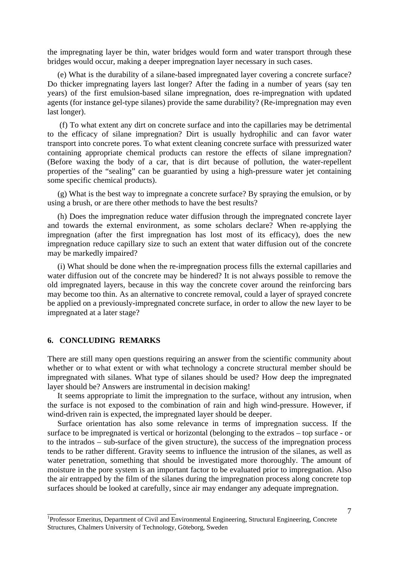the impregnating layer be thin, water bridges would form and water transport through these bridges would occur, making a deeper impregnation layer necessary in such cases.

 (e) What is the durability of a silane-based impregnated layer covering a concrete surface? Do thicker impregnating layers last longer? After the fading in a number of years (say ten years) of the first emulsion-based silane impregnation, does re-impregnation with updated agents (for instance gel-type silanes) provide the same durability? (Re-impregnation may even last longer).

 (f) To what extent any dirt on concrete surface and into the capillaries may be detrimental to the efficacy of silane impregnation? Dirt is usually hydrophilic and can favor water transport into concrete pores. To what extent cleaning concrete surface with pressurized water containing appropriate chemical products can restore the effects of silane impregnation? (Before waxing the body of a car, that is dirt because of pollution, the water-repellent properties of the "sealing" can be guarantied by using a high-pressure water jet containing some specific chemical products).

 (g) What is the best way to impregnate a concrete surface? By spraying the emulsion, or by using a brush, or are there other methods to have the best results?

 (h) Does the impregnation reduce water diffusion through the impregnated concrete layer and towards the external environment, as some scholars declare? When re-applying the impregnation (after the first impregnation has lost most of its efficacy), does the new impregnation reduce capillary size to such an extent that water diffusion out of the concrete may be markedly impaired?

 (i) What should be done when the re-impregnation process fills the external capillaries and water diffusion out of the concrete may be hindered? It is not always possible to remove the old impregnated layers, because in this way the concrete cover around the reinforcing bars may become too thin. As an alternative to concrete removal, could a layer of sprayed concrete be applied on a previously-impregnated concrete surface, in order to allow the new layer to be impregnated at a later stage?

#### **6. CONCLUDING REMARKS**

\_\_\_\_\_\_\_\_\_\_\_\_\_\_\_\_\_\_\_\_\_\_\_\_\_\_\_\_\_\_\_\_

There are still many open questions requiring an answer from the scientific community about whether or to what extent or with what technology a concrete structural member should be impregnated with silanes. What type of silanes should be used? How deep the impregnated layer should be? Answers are instrumental in decision making!

 It seems appropriate to limit the impregnation to the surface, without any intrusion, when the surface is not exposed to the combination of rain and high wind-pressure. However, if wind-driven rain is expected, the impregnated layer should be deeper.

 Surface orientation has also some relevance in terms of impregnation success. If the surface to be impregnated is vertical or horizontal (belonging to the extrados – top surface - or to the intrados – sub-surface of the given structure), the success of the impregnation process tends to be rather different. Gravity seems to influence the intrusion of the silanes, as well as water penetration, something that should be investigated more thoroughly. The amount of moisture in the pore system is an important factor to be evaluated prior to impregnation. Also the air entrapped by the film of the silanes during the impregnation process along concrete top surfaces should be looked at carefully, since air may endanger any adequate impregnation.

<sup>&</sup>lt;sup>1</sup>Professor Emeritus, Department of Civil and Environmental Engineering, Structural Engineering, Concrete Structures, Chalmers University of Technology, Göteborg, Sweden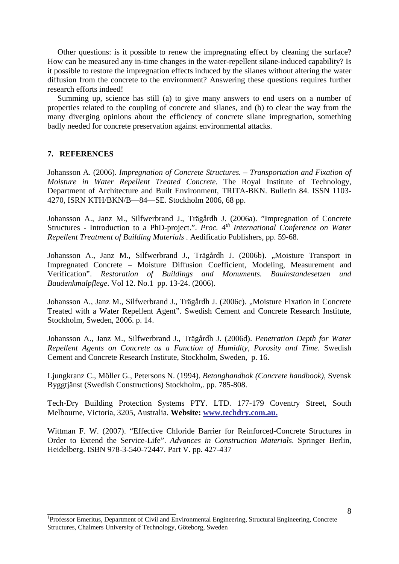Other questions: is it possible to renew the impregnating effect by cleaning the surface? How can be measured any in-time changes in the water-repellent silane-induced capability? Is it possible to restore the impregnation effects induced by the silanes without altering the water diffusion from the concrete to the environment? Answering these questions requires further research efforts indeed!

 Summing up, science has still (a) to give many answers to end users on a number of properties related to the coupling of concrete and silanes, and (b) to clear the way from the many diverging opinions about the efficiency of concrete silane impregnation, something badly needed for concrete preservation against environmental attacks.

#### **7. REFERENCES**

Johansson A. (2006). *Impregnation of Concrete Structures. – Transportation and Fixation of Moisture in Water Repellent Treated Concrete.* The Royal Institute of Technology, Department of Architecture and Built Environment, TRITA-BKN. Bulletin 84. ISSN 1103- 4270, ISRN KTH/BKN/B—84—SE. Stockholm 2006, 68 pp.

Johansson A., Janz M., Silfwerbrand J., Trägårdh J. (2006a). "Impregnation of Concrete Structures - Introduction to a PhD-project.". *Proc. 4th International Conference on Water Repellent Treatment of Building Materials .* Aedificatio Publishers, pp. 59-68.

Johansson A., Janz M., Silfwerbrand J., Trägårdh J. (2006b). "Moisture Transport in Impregnated Concrete – Moisture Diffusion Coefficient, Modeling, Measurement and Verification". *Restoration of Buildings and Monuments. Bauinstandesetzen und Baudenkmalpflege*. Vol 12. No.1 pp. 13-24. (2006).

Johansson A., Janz M., Silfwerbrand J., Trägårdh J. (2006c). "Moisture Fixation in Concrete Treated with a Water Repellent Agent". Swedish Cement and Concrete Research Institute, Stockholm, Sweden, 2006. p. 14.

Johansson A., Janz M., Silfwerbrand J., Trägårdh J. (2006d). *Penetration Depth for Water Repellent Agents on Concrete as a Function of Humidity, Porosity and Time.* Swedish Cement and Concrete Research Institute, Stockholm, Sweden, p. 16.

Ljungkranz C., Möller G., Petersons N. (1994). *Betonghandbok (Concrete handbook)*, Svensk Byggtjänst (Swedish Constructions) Stockholm,. pp. 785-808.

Tech-Dry Building Protection Systems PTY. LTD. 177-179 Coventry Street, South Melbourne, Victoria, 3205, Australia. **Website: www.techdry.com.au.**

Wittman F. W. (2007). "Effective Chloride Barrier for Reinforced-Concrete Structures in Order to Extend the Service-Life". *Advances in Construction Materials*. Springer Berlin, Heidelberg. ISBN 978-3-540-72447. Part V. pp. 427-437

<sup>&</sup>lt;sup>1</sup>Professor Emeritus, Department of Civil and Environmental Engineering, Structural Engineering, Concrete Structures, Chalmers University of Technology, Göteborg, Sweden